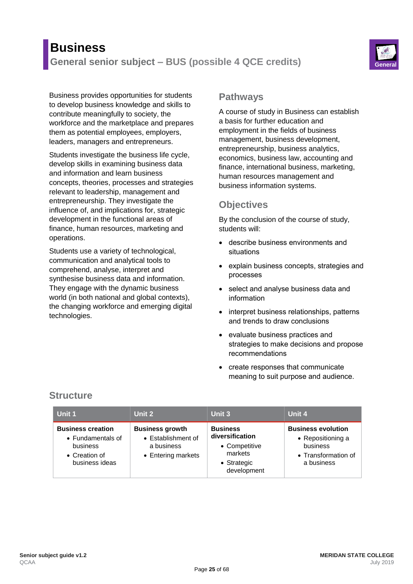# **Business General senior subject – BUS (possible 4 QCE credits) General**



Business provides opportunities for students to develop business knowledge and skills to contribute meaningfully to society, the workforce and the marketplace and prepares them as potential employees, employers, leaders, managers and entrepreneurs.

Students investigate the business life cycle, develop skills in examining business data and information and learn business concepts, theories, processes and strategies relevant to leadership, management and entrepreneurship. They investigate the influence of, and implications for, strategic development in the functional areas of finance, human resources, marketing and operations.

Students use a variety of technological, communication and analytical tools to comprehend, analyse, interpret and synthesise business data and information. They engage with the dynamic business world (in both national and global contexts), the changing workforce and emerging digital technologies.

#### **Pathways**

A course of study in Business can establish a basis for further education and employment in the fields of business management, business development, entrepreneurship, business analytics, economics, business law, accounting and finance, international business, marketing, human resources management and business information systems.

### **Objectives**

By the conclusion of the course of study, students will:

- describe business environments and situations
- explain business concepts, strategies and processes
- select and analyse business data and information
- interpret business relationships, patterns and trends to draw conclusions
- evaluate business practices and strategies to make decisions and propose recommendations
- create responses that communicate meaning to suit purpose and audience.

| Unit 1                                                                                       | Unit 2                                                                           | Unit 3                                                                                       | Unit 4                                                                                          |
|----------------------------------------------------------------------------------------------|----------------------------------------------------------------------------------|----------------------------------------------------------------------------------------------|-------------------------------------------------------------------------------------------------|
| <b>Business creation</b><br>• Fundamentals of<br>business<br>• Creation of<br>business ideas | <b>Business growth</b><br>• Establishment of<br>a business<br>• Entering markets | <b>Business</b><br>diversification<br>• Competitive<br>markets<br>• Strategic<br>development | <b>Business evolution</b><br>• Repositioning a<br>business<br>• Transformation of<br>a business |

# **Structure**